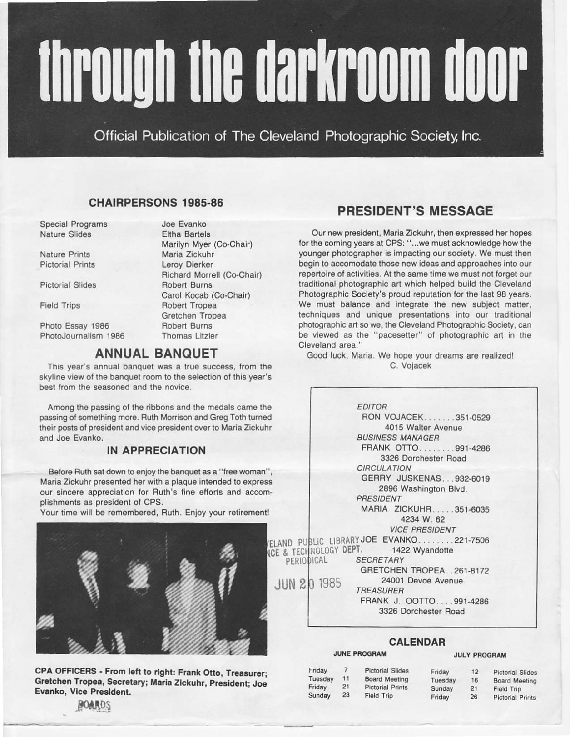# through the darkroom door

Official Publication of The Cleveland Photographic Society, Inc.

# **CHAIRPERSONS 1985-86**

**Special Programs** Nature Slides

Nature Prints **Pictorial Prints** 

**Pictorial Slides** 

**Field Trips** 

Photo Essay 1986 PhotoJournalism 1986 Joe Evanko **Eltha Bartels** Marilyn Myer (Co-Chair) Maria Zickuhr Leroy Dierker Richard Morrell (Co-Chair) **Robert Burns** Carol Kocab (Co-Chair) Robert Tropea Gretchen Tropea Robert Burns Thomas Litzler

# **ANNUAL BANQUET**

This year's annual banquet was a true success, from the skyline view of the banquet room to the selection of this year's best from the seasoned and the novice.

Among the passing of the ribbons and the medals came the passing of something more. Ruth Morrison and Greg Toth turned their posts of president and vice president over to Maria Zickuhr and Joe Evanko.

## **IN APPRECIATION**

Before Ruth sat down to enjoy the banquet as a "free woman", Maria Zickuhr presented her with a plaque intended to express our sincere appreciation for Ruth's fine efforts and accomplishments as president of CPS.

Your time will be remembered, Ruth. Enjoy your retirement!



CPA OFFICERS - From left to right: Frank Otto, Treasurer; Gretchen Tropea, Secretary; Maria Zickuhr, President; Joe Evanko, Vice President.

**BOARDS** 

**PRESIDENT'S MESSAGE** 

Our new president, Maria Zickuhr, then expressed her hopes for the coming years at CPS: "...we must acknowledge how the vounger photographer is impacting our society. We must then begin to accomodate those new ideas and approaches into our repertoire of activities. At the same time we must not forget our traditional photographic art which helped build the Cleveland Photographic Society's proud reputation for the last 98 years. We must balance and integrate the new subject matter, techniques and unique presentations into our traditional photographic art so we, the Cleveland Photographic Society, can be viewed as the "pacesetter" of photographic art in the Cleveland area."

Good luck, Maria. We hope your dreams are realized! C. Vojacek

**EDITOR** RON VOJACEK.......351-0529 4015 Walter Avenue **BUSINESS MANAGER** FRANK OTTO........991-4286 3326 Dorchester Road **CIRCULATION** GERRY JUSKENAS...932-6019 2896 Washington Blvd. **PRESIDENT** MARIA ZICKUHR.....351-6035 4234 W. 62 **VICE PRESIDENT** ELAND PUBLIC LIBRARYJOE EVANKO.......221-7506<br>NCE & TECHNOLOGY DEPT. 1422 Wyandotte PERIODICAL **SECRETARY** GRETCHEN TROPEA..261-8172 24001 Devoe Avenue **JUN 20 1985 TREASURER** FRANK J. OOTTO....991-4286 3326 Dorchester Road

# **CALENDAR**

#### **JUNE PROGRAM**

ield Trip

**JULY PROGRAM** 12

16

 $21$ 

26

| Friday  | 7  | F |
|---------|----|---|
| Tuesday | 11 | Е |
| Friday  | 21 | F |
| Sunday  | 23 | F |

ictorial Slides Friday loard Meeting Tuesday **ictorial Prints** Sunday Friday

**Pictorial Slides Board Meeting** Field Trip **Pictorial Prints**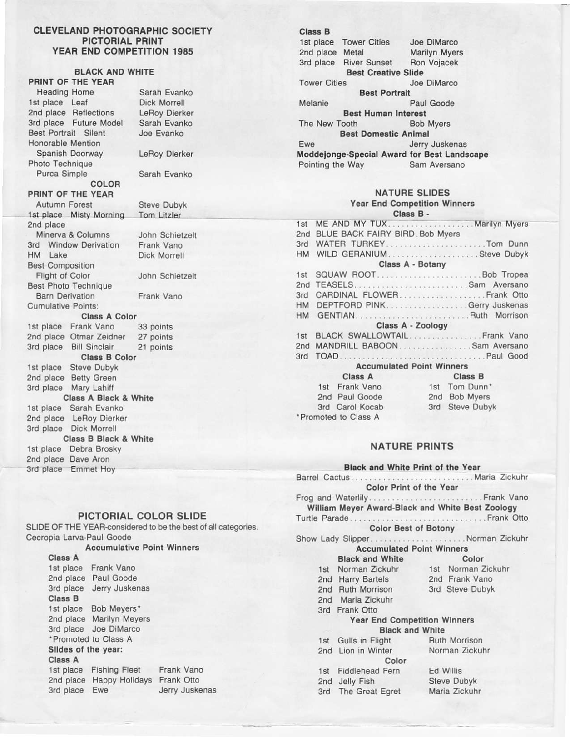### **CLEVELAND PHOTOGRAPHIC SOCIETY PICTORIAL PRINT** YEAR END COMPETITION 1985

#### **BLACK AND WHITE** PRINT OF THE YEAR

**Heading Home** Sarah Evanko 1st place Leaf Dick Morrell 2nd place Reflections LeRoy Dierker 3rd place Future Model Sarah Evanko Best Portrait Silent Joe Evanko Honorable Mention Spanish Doorway LeRoy Dierker Photo Technique Purca Simple Sarah Evanko COLOR PRINT OF THE YEAR Autumn Forest Steve Dubyk 1st place Misty Morning Tom Litzler 2nd place Minerva & Columns John Schietzelt 3rd Window Derivation Frank Vano HM Lake **Dick Morrell Best Composition** Flight of Color John Schietzelt Best Photo Technique **Barn Derivation** Frank Vano Cumulative Points: **Class A Color** 1st place Frank Vano 33 points 2nd place Otmar Zeidner 27 points 3rd place Bill Sinclair 21 points Class B Color 1st place Steve Dubyk 2nd place Betty Green 3rd place Mary Lahiff Class A Black & White 1st place Sarah Evanko 2nd place LeRoy Dierker 3rd place Dick Morrell Class B Black & White 1st place Debra Brosky 2nd place Dave Aron 3rd place Emmet Hoy

## PICTORIAL COLOR SLIDE

SLIDE OF THE YEAR-considered to be the best of all categories. Cecropia Larva-Paul Goode

## **Accumulative Point Winners**

Class A

| 1st place           | Frank Vano                          |                |
|---------------------|-------------------------------------|----------------|
|                     | 2nd place Paul Goode                |                |
| 3rd place           | Jerry Juskenas                      |                |
| <b>Class B</b>      |                                     |                |
|                     | 1st place Bob Meyers*               |                |
|                     | 2nd place Marilyn Meyers            |                |
|                     | 3rd place Joe DiMarco               |                |
|                     | *Promoted to Class A                |                |
| Slides of the year: |                                     |                |
| <b>Class A</b>      |                                     |                |
| 1st place           | <b>Fishing Fleet</b>                | Frank Vano     |
|                     | 2nd place Happy Holidays Frank Otto |                |
| 3rd place           | Ewe                                 | Jerry Juskenas |

## Class R

| Joe DiMarco                                 |
|---------------------------------------------|
| <b>Marilyn Myers</b>                        |
| Ron Vojacek                                 |
|                                             |
| Joe DiMarco                                 |
|                                             |
| Paul Goode                                  |
|                                             |
|                                             |
|                                             |
| Jerry Juskenas                              |
| Moddejonge-Special Award for Best Landscape |
| Sam Aversano                                |
|                                             |

#### **NATURE SLIDES Year End Competition Winners** Class B -

| 1st       |                                 | ME AND MY TUX. Marilyn Myers     |
|-----------|---------------------------------|----------------------------------|
| 2nd       | BLUE BACK FAIRY BIRD. Bob Myers |                                  |
| 3rd       |                                 | WATER TURKEYTom Dunn             |
| <b>HM</b> |                                 | WILD GERANIUMSteve Dubyk         |
|           |                                 | Class A - Botany                 |
| 1st       |                                 | SQUAW ROOTBob Tropea             |
| 2nd       |                                 | TEASELSSam Aversano              |
| 3rd       |                                 | CARDINAL FLOWERFrank Otto        |
| <b>HM</b> |                                 | DEPTFORD PINKGerry Juskenas      |
| <b>HM</b> |                                 |                                  |
|           |                                 | Class A - Zoology                |
| 1st       |                                 | BLACK SWALLOWTAILFrank Vano      |
| 2nd       |                                 | MANDRILL BABOONSam Aversano      |
| 3rd       |                                 | TOADPaul Good                    |
|           |                                 | <b>Accumulated Point Winners</b> |
|           | <b>Class A</b>                  | <b>Class B</b>                   |
|           | 1st Frank Vano                  | 1st Tom Dunn*<br><b>Service</b>  |
|           | 2nd Paul Goode                  | 2nd Bob Myers                    |

# 3rd Carol Kocab \*Promoted to Class A

# **NATURE PRINTS**

3rd Steve Dubyk

|     | Black and White Print of the Year                             |                                                                                  |
|-----|---------------------------------------------------------------|----------------------------------------------------------------------------------|
|     |                                                               | Barrel CactusMaria Zickuhr                                                       |
|     |                                                               | Color Print of the Year                                                          |
|     |                                                               | Frog and WaterlilyFrank Vano<br>William Meyer Award-Black and White Best Zoology |
|     |                                                               | Turtle ParadeFrank Otto                                                          |
|     | <b>Color Best of Botony</b>                                   |                                                                                  |
|     | <b>Accumulated Point Winners</b>                              |                                                                                  |
|     | <b>Black and White</b>                                        | Color                                                                            |
| 1st |                                                               | Norman Zickuhr 1st Norman Zickuhr                                                |
|     |                                                               | 2nd Harry Bartels 2nd Frank Vano                                                 |
|     |                                                               | 2nd Ruth Morrison 3rd Steve Dubyk                                                |
|     | 2nd Maria Zickuhr                                             |                                                                                  |
|     | 3rd Frank Otto                                                |                                                                                  |
|     | <b>Year End Competition Winners</b><br><b>Black and White</b> |                                                                                  |
| 1st | Gulls in Flight Ruth Morrison                                 |                                                                                  |
| 2nd |                                                               | Lion in Winter Norman Zickuhr                                                    |
|     | Color                                                         |                                                                                  |
|     | 1st Fiddlehead Fern                                           | Ed Willis                                                                        |
|     | 2nd Jelly Fish                                                | Steve Dubyk                                                                      |
|     | 3rd The Great Egret                                           | Maria Zickuhr                                                                    |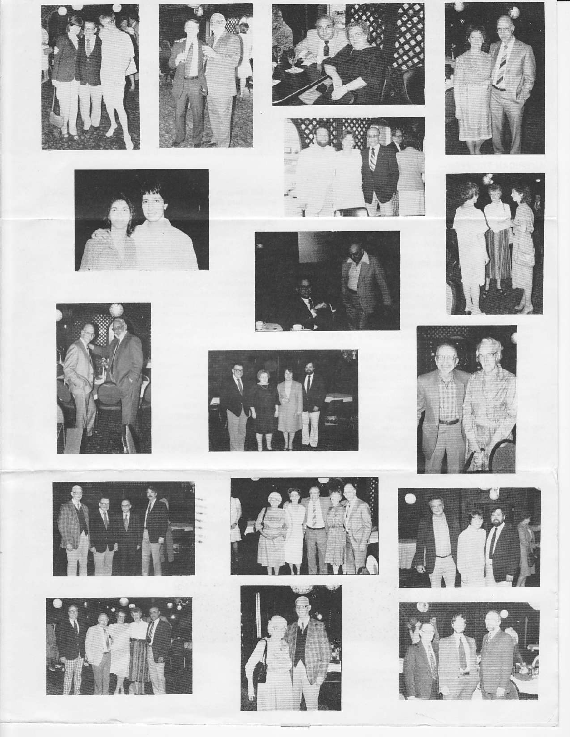